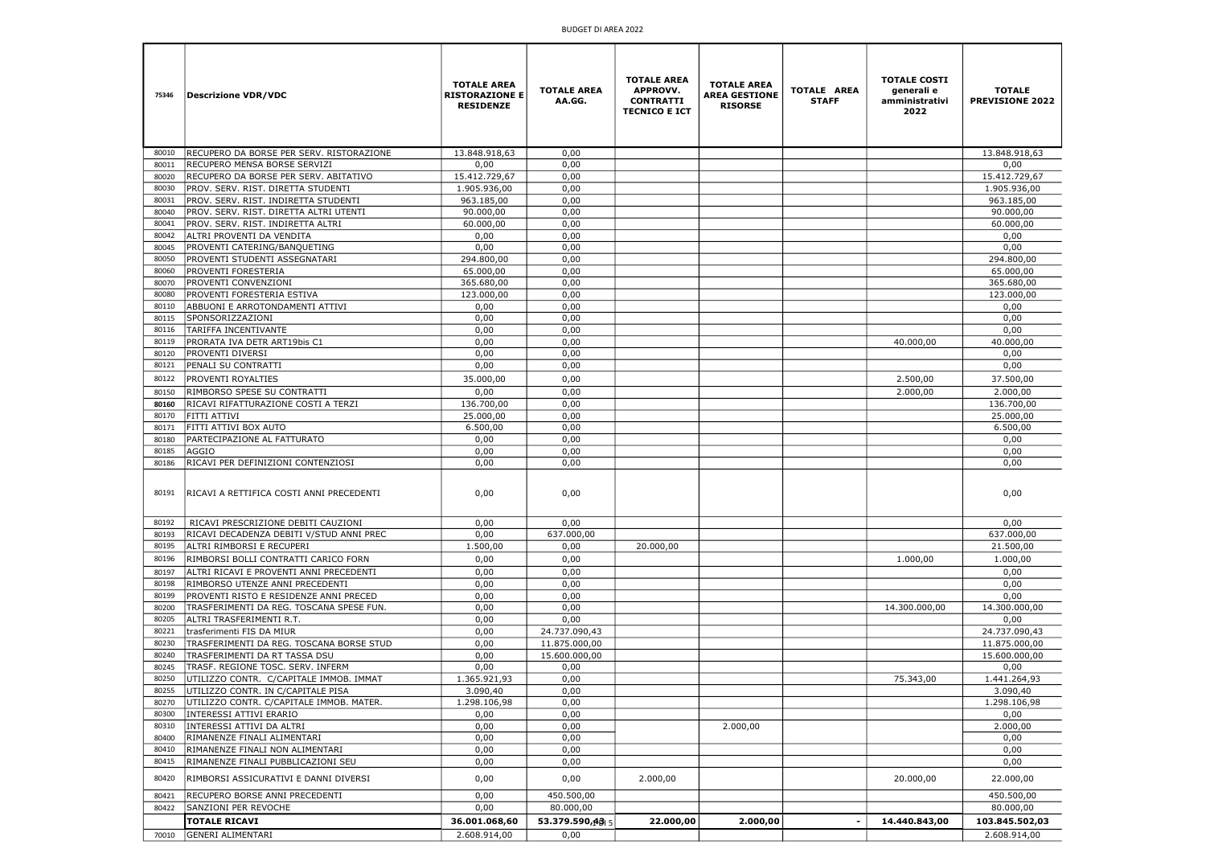| 75346          | Descrizione VDR/VDC                                                   | <b>TOTALE AREA</b><br><b>RISTORAZIONE E</b><br><b>RESIDENZE</b> | <b>TOTALE AREA</b><br>AA.GG. | <b>TOTALE AREA</b><br><b>APPROVV.</b><br><b>CONTRATTI</b><br><b>TECNICO E ICT</b> | <b>TOTALE AREA</b><br><b>AREA GESTIONE</b><br><b>RISORSE</b> | TOTALE AREA<br><b>STAFF</b> | <b>TOTALE COSTI</b><br>generali e<br>amministrativi<br>2022 | <b>TOTALE</b><br><b>PREVISIONE 2022</b> |
|----------------|-----------------------------------------------------------------------|-----------------------------------------------------------------|------------------------------|-----------------------------------------------------------------------------------|--------------------------------------------------------------|-----------------------------|-------------------------------------------------------------|-----------------------------------------|
| 80010          | RECUPERO DA BORSE PER SERV. RISTORAZIONE                              | 13.848.918,63                                                   | 0,00                         |                                                                                   |                                                              |                             |                                                             | 13.848.918,63                           |
| 80011          | RECUPERO MENSA BORSE SERVIZI                                          | 0,00                                                            | 0,00                         |                                                                                   |                                                              |                             |                                                             | 0,00                                    |
| 80020          | RECUPERO DA BORSE PER SERV. ABITATIVO                                 | 15.412.729,67                                                   | 0,00                         |                                                                                   |                                                              |                             |                                                             | 15.412.729,67                           |
| 80030          | PROV. SERV. RIST. DIRETTA STUDENTI                                    | 1.905.936,00                                                    | 0,00                         |                                                                                   |                                                              |                             |                                                             | 1.905.936,00                            |
| 80031          | PROV. SERV. RIST. INDIRETTA STUDENTI                                  | 963.185,00                                                      | 0,00                         |                                                                                   |                                                              |                             |                                                             | 963.185,00                              |
| 80040          | PROV. SERV. RIST. DIRETTA ALTRI UTENTI                                | 90.000,00                                                       | 0,00                         |                                                                                   |                                                              |                             |                                                             | 90.000,00                               |
| 80041          | PROV. SERV. RIST. INDIRETTA ALTRI                                     | 60.000,00                                                       | 0,00                         |                                                                                   |                                                              |                             |                                                             | 60.000,00                               |
| 80042          | ALTRI PROVENTI DA VENDITA                                             | 0,00                                                            | 0,00                         |                                                                                   |                                                              |                             |                                                             | 0,00                                    |
| 80045          | PROVENTI CATERING/BANQUETING                                          | 0,00                                                            | 0,00                         |                                                                                   |                                                              |                             |                                                             | 0,00                                    |
| 80050          | PROVENTI STUDENTI ASSEGNATARI                                         | 294.800,00                                                      | 0,00                         |                                                                                   |                                                              |                             |                                                             | 294.800,00                              |
| 80060<br>80070 | <b>PROVENTI FORESTERIA</b><br>PROVENTI CONVENZIONI                    | 65.000,00<br>365.680,00                                         | 0,00<br>0,00                 |                                                                                   |                                                              |                             |                                                             | 65.000,00<br>365.680,00                 |
| 80080          | PROVENTI FORESTERIA ESTIVA                                            | 123.000,00                                                      | 0,00                         |                                                                                   |                                                              |                             |                                                             | 123.000,00                              |
| 80110          | ABBUONI E ARROTONDAMENTI ATTIVI                                       | 0,00                                                            | 0,00                         |                                                                                   |                                                              |                             |                                                             | 0,00                                    |
| 80115          | SPONSORIZZAZIONI                                                      | 0,00                                                            | 0,00                         |                                                                                   |                                                              |                             |                                                             | 0,00                                    |
| 80116          | TARIFFA INCENTIVANTE                                                  | 0,00                                                            | 0,00                         |                                                                                   |                                                              |                             |                                                             | 0,00                                    |
| 80119          | PRORATA IVA DETR ART19bis C1                                          | 0,00                                                            | 0,00                         |                                                                                   |                                                              |                             | 40.000,00                                                   | 40.000,00                               |
| 80120          | <b>PROVENTI DIVERSI</b>                                               | 0,00                                                            | 0,00                         |                                                                                   |                                                              |                             |                                                             | 0,00                                    |
| 80121          | PENALI SU CONTRATTI                                                   | 0,00                                                            | 0,00                         |                                                                                   |                                                              |                             |                                                             | 0,00                                    |
| 80122          | <b>PROVENTI ROYALTIES</b>                                             | 35.000,00                                                       | 0,00                         |                                                                                   |                                                              |                             | 2.500,00                                                    | 37.500,00                               |
| 80150          | RIMBORSO SPESE SU CONTRATTI                                           | 0,00                                                            | 0,00                         |                                                                                   |                                                              |                             | 2.000,00                                                    | 2.000,00                                |
| 80160          | RICAVI RIFATTURAZIONE COSTI A TERZI                                   | 136.700,00                                                      | 0,00                         |                                                                                   |                                                              |                             |                                                             | 136.700,00                              |
| 80170          | <b>FITTI ATTIVI</b>                                                   | 25.000,00                                                       | 0,00                         |                                                                                   |                                                              |                             |                                                             | 25.000,00                               |
| 80171          | FITTI ATTIVI BOX AUTO                                                 | 6.500,00                                                        | 0,00                         |                                                                                   |                                                              |                             |                                                             | 6.500,00                                |
| 80180<br>80185 | PARTECIPAZIONE AL FATTURATO<br><b>AGGIO</b>                           | 0,00<br>0,00                                                    | 0,00<br>0,00                 |                                                                                   |                                                              |                             |                                                             | 0,00<br>0,00                            |
| 80186          | RICAVI PER DEFINIZIONI CONTENZIOSI                                    | 0,00                                                            | 0,00                         |                                                                                   |                                                              |                             |                                                             | 0,00                                    |
|                | 80191   RICAVI A RETTIFICA COSTI ANNI PRECEDENTI                      | 0,00                                                            | 0,00                         |                                                                                   |                                                              |                             |                                                             | 0,00                                    |
| 80192          | RICAVI PRESCRIZIONE DEBITI CAUZIONI                                   | 0,00                                                            | 0,00                         |                                                                                   |                                                              |                             |                                                             | 0,00                                    |
| 80193          | RICAVI DECADENZA DEBITI V/STUD ANNI PREC                              | 0,00                                                            | 637.000,00                   |                                                                                   |                                                              |                             |                                                             | 637.000,00                              |
| 80195          | ALTRI RIMBORSI E RECUPERI                                             | 1.500,00                                                        | 0,00                         | 20.000,00                                                                         |                                                              |                             |                                                             | 21.500,00                               |
| 80196          | RIMBORSI BOLLI CONTRATTI CARICO FORN                                  | 0,00                                                            | 0,00                         |                                                                                   |                                                              |                             | 1.000,00                                                    | 1.000,00                                |
| 80197          | ALTRI RICAVI E PROVENTI ANNI PRECEDENTI                               | 0,00                                                            | 0,00                         |                                                                                   |                                                              |                             |                                                             | 0,00                                    |
| 80198          | RIMBORSO UTENZE ANNI PRECEDENTI                                       | 0,00                                                            | 0,00                         |                                                                                   |                                                              |                             |                                                             | 0,00                                    |
| 80199          | PROVENTI RISTO E RESIDENZE ANNI PRECED                                | 0,00                                                            | 0,00                         |                                                                                   |                                                              |                             |                                                             | 0,00                                    |
| 80200<br>80205 | TRASFERIMENTI DA REG. TOSCANA SPESE FUN.                              | 0,00<br>0,00                                                    | 0,00<br>0,00                 |                                                                                   |                                                              |                             | 14.300.000,00                                               | 14.300.000,00<br>0,00                   |
| 80221          | ALTRI TRASFERIMENTI R.T.<br>trasferimenti FIS DA MIUR                 | 0,00                                                            | 24.737.090,43                |                                                                                   |                                                              |                             |                                                             | 24.737.090,43                           |
| 80230          | TRASFERIMENTI DA REG. TOSCANA BORSE STUD                              | 0,00                                                            | 11.875.000,00                |                                                                                   |                                                              |                             |                                                             | 11.875.000,00                           |
| 80240          | TRASFERIMENTI DA RT TASSA DSU                                         | 0,00                                                            | 15.600.000,00                |                                                                                   |                                                              |                             |                                                             | 15.600.000,00                           |
| 80245          | TRASF. REGIONE TOSC. SERV. INFERM                                     | 0,00                                                            | 0,00                         |                                                                                   |                                                              |                             |                                                             | 0,00                                    |
| 80250          | UTILIZZO CONTR. C/CAPITALE IMMOB. IMMAT                               | 1.365.921,93                                                    | 0,00                         |                                                                                   |                                                              |                             | 75.343,00                                                   | 1.441.264,93                            |
| 80255          | UTILIZZO CONTR. IN C/CAPITALE PISA                                    | 3.090,40                                                        | 0,00                         |                                                                                   |                                                              |                             |                                                             | 3.090,40                                |
| 80270          | UTILIZZO CONTR. C/CAPITALE IMMOB. MATER.                              | 1.298.106,98                                                    | 0,00                         |                                                                                   |                                                              |                             |                                                             | 1.298.106,98                            |
| 80300          | INTERESSI ATTIVI ERARIO                                               | 0,00                                                            | 0,00                         |                                                                                   |                                                              |                             |                                                             | 0,00                                    |
| 80310          | INTERESSI ATTIVI DA ALTRI                                             | 0,00                                                            | 0,00                         |                                                                                   | 2.000,00                                                     |                             |                                                             | 2.000,00                                |
| 80400          | RIMANENZE FINALI ALIMENTARI                                           | 0,00                                                            | 0,00                         |                                                                                   |                                                              |                             |                                                             | 0,00                                    |
| 80410<br>80415 | RIMANENZE FINALI NON ALIMENTARI<br>RIMANENZE FINALI PUBBLICAZIONI SEU | 0,00<br>0,00                                                    | 0,00<br>0,00                 |                                                                                   |                                                              |                             |                                                             | 0,00<br>0,00                            |
|                |                                                                       |                                                                 |                              |                                                                                   |                                                              |                             |                                                             |                                         |
| 80420          | RIMBORSI ASSICURATIVI E DANNI DIVERSI                                 | 0,00                                                            | 0,00                         | 2.000,00                                                                          |                                                              |                             | 20.000,00                                                   | 22.000,00                               |
| 80421<br>80422 | RECUPERO BORSE ANNI PRECEDENTI<br>SANZIONI PER REVOCHE                | 0,00<br>0,00                                                    | 450.500,00<br>80.000,00      |                                                                                   |                                                              |                             |                                                             | 450.500,00<br>80.000,00                 |
|                | <b>TOTALE RICAVI</b>                                                  | 36.001.068,60                                                   | 53.379.590,48 5              | 22.000,00                                                                         | 2.000,00                                                     | $\sim$                      | 14.440.843,00                                               | 103.845.502,03                          |
| 70010          | GENERI ALIMENTARI                                                     | 2.608.914,00                                                    | 0,00                         |                                                                                   |                                                              |                             |                                                             | 2.608.914,00                            |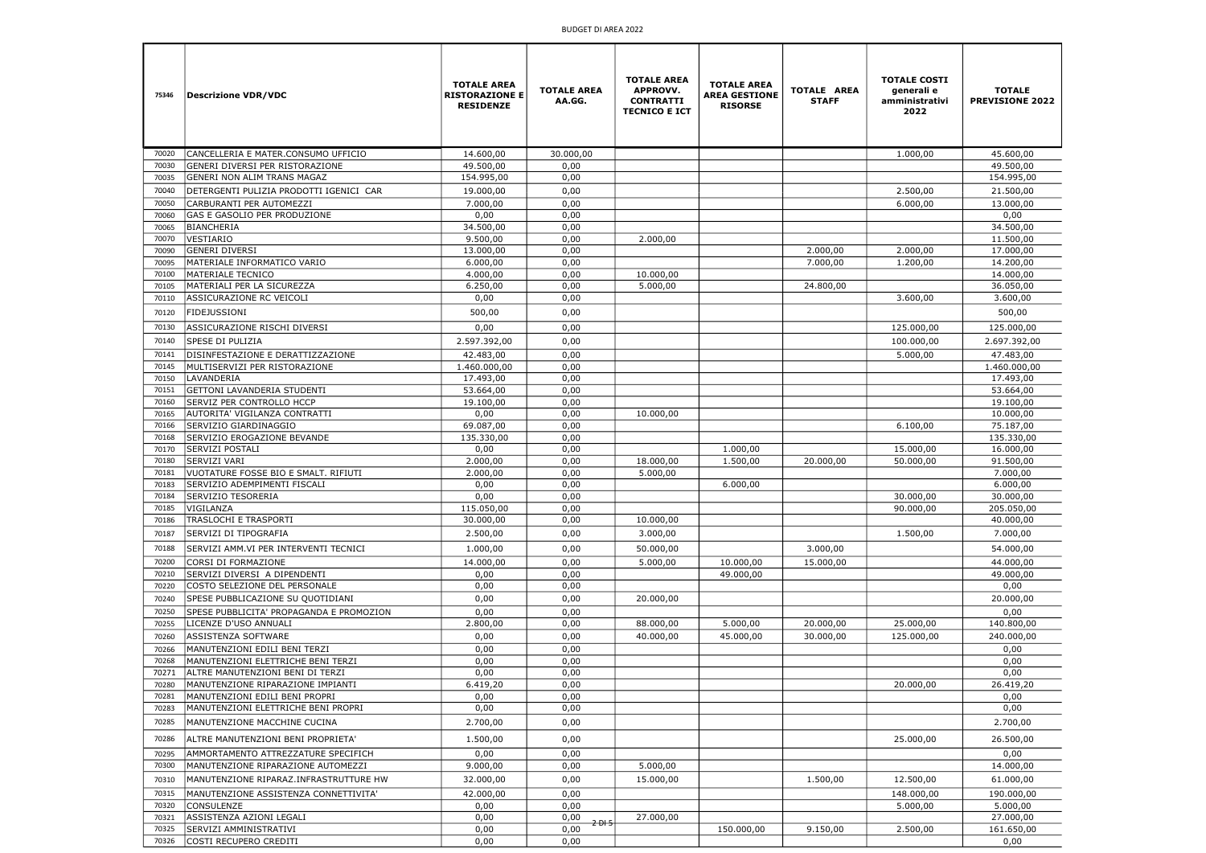| 75346          | <b>Descrizione VDR/VDC</b>                                            | <b>TOTALE AREA</b><br><b>RISTORAZIONE E</b><br><b>RESIDENZE</b> | <b>TOTALE AREA</b><br>AA.GG. | <b>TOTALE AREA</b><br><b>APPROVV.</b><br><b>CONTRATTI</b><br><b>TECNICO E ICT</b> | <b>TOTALE AREA</b><br><b>AREA GESTIONE</b><br><b>RISORSE</b> | <b>TOTALE AREA</b><br><b>STAFF</b> | <b>TOTALE COSTI</b><br>generali e<br>amministrativi<br>2022 | <b>TOTALE</b><br><b>PREVISIONE 2022</b> |
|----------------|-----------------------------------------------------------------------|-----------------------------------------------------------------|------------------------------|-----------------------------------------------------------------------------------|--------------------------------------------------------------|------------------------------------|-------------------------------------------------------------|-----------------------------------------|
| 70020          | CANCELLERIA E MATER.CONSUMO UFFICIO                                   | 14.600.00                                                       | 30.000,00                    |                                                                                   |                                                              |                                    | 1.000,00                                                    | 45.600,00                               |
| 70030          | GENERI DIVERSI PER RISTORAZIONE                                       | 49.500,00                                                       | 0,00                         |                                                                                   |                                                              |                                    |                                                             | 49.500,00                               |
| 70035          | <b>GENERI NON ALIM TRANS MAGAZ</b>                                    | 154.995,00                                                      | 0,00                         |                                                                                   |                                                              |                                    |                                                             | 154.995,00                              |
| 70040          | DETERGENTI PULIZIA PRODOTTI IGENICI CAR                               | 19.000,00                                                       | 0,00                         |                                                                                   |                                                              |                                    | 2.500,00                                                    | 21.500,00                               |
| 70050          | CARBURANTI PER AUTOMEZZI                                              | 7.000,00                                                        | 0,00                         |                                                                                   |                                                              |                                    | 6.000,00                                                    | 13.000,00                               |
| 70060          | GAS E GASOLIO PER PRODUZIONE                                          | 0,00                                                            | 0,00                         |                                                                                   |                                                              |                                    |                                                             | 0,00                                    |
| 70065          | BIANCHERIA                                                            | 34.500,00                                                       | 0,00                         |                                                                                   |                                                              |                                    |                                                             | 34.500,00                               |
| 70070<br>70090 | VESTIARIO<br><b>GENERI DIVERSI</b>                                    | 9.500,00<br>13.000,00                                           | 0,00<br>0,00                 | 2.000,00                                                                          |                                                              | 2.000,00                           | 2.000,00                                                    | 11.500,00<br>17.000,00                  |
| 70095          | MATERIALE INFORMATICO VARIO                                           | 6.000,00                                                        | 0,00                         |                                                                                   |                                                              | 7.000,00                           | 1.200,00                                                    | 14.200,00                               |
| 70100          | <b>MATERIALE TECNICO</b>                                              | 4.000,00                                                        | 0,00                         | 10.000,00                                                                         |                                                              |                                    |                                                             | 14.000,00                               |
| 70105          | MATERIALI PER LA SICUREZZA                                            | 6.250,00                                                        | 0,00                         | 5.000,00                                                                          |                                                              | 24.800,00                          |                                                             | 36.050,00                               |
| 70110          | ASSICURAZIONE RC VEICOLI                                              | 0,00                                                            | 0,00                         |                                                                                   |                                                              |                                    | 3.600,00                                                    | 3.600,00                                |
| 70120          | <b>FIDEJUSSIONI</b>                                                   | 500,00                                                          | 0,00                         |                                                                                   |                                                              |                                    |                                                             | 500,00                                  |
| 70130          | ASSICURAZIONE RISCHI DIVERSI                                          | 0,00                                                            | 0,00                         |                                                                                   |                                                              |                                    | 125.000,00                                                  | 125.000,00                              |
| 70140          | <b>SPESE DI PULIZIA</b>                                               | 2.597.392,00                                                    | 0,00                         |                                                                                   |                                                              |                                    | 100.000,00                                                  | 2.697.392,00                            |
| 70141          | DISINFESTAZIONE E DERATTIZZAZIONE                                     | 42.483,00                                                       | 0,00                         |                                                                                   |                                                              |                                    | 5.000,00                                                    | 47.483,00                               |
| 70145          | MULTISERVIZI PER RISTORAZIONE                                         | 1.460.000,00                                                    | 0,00                         |                                                                                   |                                                              |                                    |                                                             | 1.460.000,00                            |
| 70150          | LAVANDERIA                                                            | 17.493,00                                                       | 0,00                         |                                                                                   |                                                              |                                    |                                                             | 17.493,00                               |
| 70151          | <b>GETTONI LAVANDERIA STUDENTI</b>                                    | 53.664,00                                                       | 0,00                         |                                                                                   |                                                              |                                    |                                                             | 53.664,00                               |
| 70160          | <b>SERVIZ PER CONTROLLO HCCP</b>                                      | 19.100,00                                                       | 0,00                         |                                                                                   |                                                              |                                    |                                                             | 19.100,00                               |
| 70165          | AUTORITA' VIGILANZA CONTRATTI                                         | 0,00                                                            | 0,00                         | 10.000,00                                                                         |                                                              |                                    |                                                             | 10.000,00                               |
| 70166<br>70168 | SERVIZIO GIARDINAGGIO<br>SERVIZIO EROGAZIONE BEVANDE                  | 69.087,00<br>135.330,00                                         | 0,00<br>0,00                 |                                                                                   |                                                              |                                    | 6.100,00                                                    | 75.187,00<br>135.330,00                 |
| 70170          | SERVIZI POSTALI                                                       | 0,00                                                            | 0,00                         |                                                                                   | 1.000,00                                                     |                                    | 15.000,00                                                   | 16.000,00                               |
| 70180          | <b>SERVIZI VARI</b>                                                   | 2.000,00                                                        | 0,00                         | 18.000,00                                                                         | 1.500,00                                                     | 20.000,00                          | 50.000,00                                                   | 91.500,00                               |
| 70181          | VUOTATURE FOSSE BIO E SMALT. RIFIUTI                                  | 2.000,00                                                        | 0,00                         | 5.000,00                                                                          |                                                              |                                    |                                                             | 7.000,00                                |
| 70183          | SERVIZIO ADEMPIMENTI FISCALI                                          | 0,00                                                            | 0,00                         |                                                                                   | 6.000,00                                                     |                                    |                                                             | 6.000,00                                |
| 70184          | SERVIZIO TESORERIA                                                    | 0,00                                                            | 0,00                         |                                                                                   |                                                              |                                    | 30.000,00                                                   | 30.000,00                               |
| 70185          | VIGILANZA                                                             | 115.050,00                                                      | 0,00                         |                                                                                   |                                                              |                                    | 90.000,00                                                   | 205.050,00                              |
| 70186          | <b>TRASLOCHI E TRASPORTI</b>                                          | 30.000,00                                                       | 0,00                         | 10.000,00                                                                         |                                                              |                                    |                                                             | 40.000,00                               |
| 70187          | SERVIZI DI TIPOGRAFIA                                                 | 2.500,00                                                        | 0,00                         | 3.000,00                                                                          |                                                              |                                    | 1.500,00                                                    | 7.000,00                                |
| 70188          | SERVIZI AMM.VI PER INTERVENTI TECNICI                                 | 1.000,00                                                        | 0,00                         | 50.000,00                                                                         |                                                              | 3.000,00                           |                                                             | 54.000,00                               |
| 70200          | CORSI DI FORMAZIONE<br>SERVIZI DIVERSI A DIPENDENTI                   | 14.000,00                                                       | 0,00                         | 5.000,00                                                                          | 10.000,00                                                    | 15.000,00                          |                                                             | 44.000,00                               |
| 70210<br>70220 | COSTO SELEZIONE DEL PERSONALE                                         | 0,00<br>0,00                                                    | 0,00<br>0,00                 |                                                                                   | 49.000,00                                                    |                                    |                                                             | 49.000,00<br>0,00                       |
| 70240          | SPESE PUBBLICAZIONE SU QUOTIDIANI                                     | 0,00                                                            | 0,00                         | 20.000,00                                                                         |                                                              |                                    |                                                             | 20.000,00                               |
| 70250          | SPESE PUBBLICITA' PROPAGANDA E PROMOZION                              | 0,00                                                            | 0,00                         |                                                                                   |                                                              |                                    |                                                             | 0,00                                    |
| 70255          | LICENZE D'USO ANNUALI                                                 | 2.800,00                                                        | 0,00                         | 88.000,00                                                                         | 5.000,00                                                     | 20.000,00                          | 25.000,00                                                   | 140.800,00                              |
| 70260          | ASSISTENZA SOFTWARE                                                   | 0,00                                                            | 0,00                         | 40.000,00                                                                         | 45.000,00                                                    | 30.000,00                          | 125.000,00                                                  | 240.000,00                              |
| 70266          | MANUTENZIONI EDILI BENI TERZI                                         | 0,00                                                            | 0,00                         |                                                                                   |                                                              |                                    |                                                             | 0,00                                    |
| 70268          | MANUTENZIONI ELETTRICHE BENI TERZI                                    | 0,00                                                            | 0,00                         |                                                                                   |                                                              |                                    |                                                             | 0,00                                    |
| 70271          | ALTRE MANUTENZIONI BENI DI TERZI                                      | 0,00                                                            | 0,00                         |                                                                                   |                                                              |                                    |                                                             | 0,00                                    |
| 70280          | MANUTENZIONE RIPARAZIONE IMPIANTI                                     | 6.419,20                                                        | 0,00                         |                                                                                   |                                                              |                                    | 20.000,00                                                   | 26.419,20                               |
| 70281<br>70283 | MANUTENZIONI EDILI BENI PROPRI<br>MANUTENZIONI ELETTRICHE BENI PROPRI | 0,00<br>0,00                                                    | 0,00<br>0,00                 |                                                                                   |                                                              |                                    |                                                             | 0,00<br>0,00                            |
| 70285          | MANUTENZIONE MACCHINE CUCINA                                          | 2.700,00                                                        | 0,00                         |                                                                                   |                                                              |                                    |                                                             | 2.700,00                                |
|                |                                                                       |                                                                 |                              |                                                                                   |                                                              |                                    |                                                             |                                         |
| 70286          | ALTRE MANUTENZIONI BENI PROPRIETA'                                    | 1.500,00                                                        | 0,00                         |                                                                                   |                                                              |                                    | 25.000,00                                                   | 26.500,00                               |
| 70295          | AMMORTAMENTO ATTREZZATURE SPECIFICH                                   | 0,00                                                            | 0,00                         |                                                                                   |                                                              |                                    |                                                             | 0,00                                    |
| 70300          | MANUTENZIONE RIPARAZIONE AUTOMEZZI                                    | 9.000,00                                                        | 0,00                         | 5.000,00                                                                          |                                                              |                                    |                                                             | 14.000,00                               |
| 70310          | MANUTENZIONE RIPARAZ.INFRASTRUTTURE HW                                | 32.000,00                                                       | 0,00                         | 15.000,00                                                                         |                                                              | 1.500,00                           | 12.500,00                                                   | 61.000,00                               |
| 70315<br>70320 | MANUTENZIONE ASSISTENZA CONNETTIVITA'<br><b>CONSULENZE</b>            | 42.000,00<br>0,00                                               | 0,00<br>0,00                 |                                                                                   |                                                              |                                    | 148.000,00<br>5.000,00                                      | 190.000,00<br>5.000,00                  |
| 70321          | ASSISTENZA AZIONI LEGALI                                              | 0,00                                                            | 0,00                         | 27.000,00                                                                         |                                                              |                                    |                                                             | 27.000,00                               |
| 70325          | SERVIZI AMMINISTRATIVI                                                | 0,00                                                            | $2-0+5$<br>0,00              |                                                                                   | 150.000,00                                                   | 9.150,00                           | 2.500,00                                                    | 161.650,00                              |
| 70326          | COSTI RECUPERO CREDITI                                                | 0,00                                                            | 0,00                         |                                                                                   |                                                              |                                    |                                                             | 0,00                                    |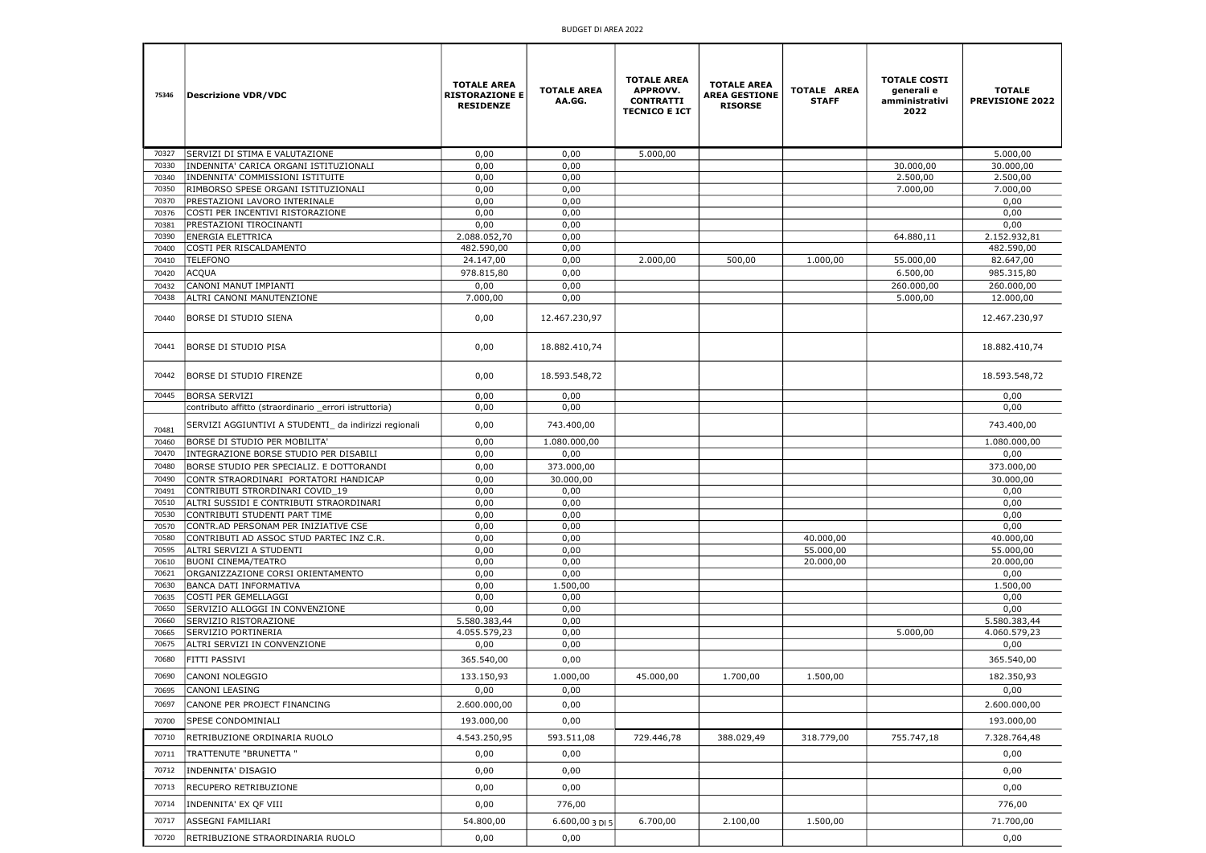| 75346          | <b>Descrizione VDR/VDC</b>                                                                    | <b>TOTALE AREA</b><br><b>RISTORAZIONE E</b><br><b>RESIDENZE</b> | <b>TOTALE AREA</b><br>AA.GG. | <b>TOTALE AREA</b><br><b>APPROVV.</b><br><b>CONTRATTI</b><br><b>TECNICO E ICT</b> | <b>TOTALE AREA</b><br><b>AREA GESTIONE</b><br><b>RISORSE</b> | <b>TOTALE AREA</b><br><b>STAFF</b> | <b>TOTALE COSTI</b><br>generali e<br>amministrativi<br>2022 | <b>TOTALE</b><br><b>PREVISIONE 2022</b> |
|----------------|-----------------------------------------------------------------------------------------------|-----------------------------------------------------------------|------------------------------|-----------------------------------------------------------------------------------|--------------------------------------------------------------|------------------------------------|-------------------------------------------------------------|-----------------------------------------|
| 70327          | SERVIZI DI STIMA E VALUTAZIONE                                                                | 0,00                                                            | 0,00                         | 5.000,00                                                                          |                                                              |                                    |                                                             | 5.000,00                                |
| 70330          | INDENNITA' CARICA ORGANI ISTITUZIONALI                                                        | 0,00                                                            | 0,00                         |                                                                                   |                                                              |                                    | 30.000,00                                                   | 30.000,00                               |
| 70340          | INDENNITA' COMMISSIONI ISTITUITE                                                              | 0,00                                                            | 0,00                         |                                                                                   |                                                              |                                    | 2.500,00                                                    | 2.500,00                                |
| 70350          | RIMBORSO SPESE ORGANI ISTITUZIONALI                                                           | 0,00                                                            | 0,00                         |                                                                                   |                                                              |                                    | 7.000,00                                                    | 7.000,00                                |
| 70370<br>70376 | PRESTAZIONI LAVORO INTERINALE<br>COSTI PER INCENTIVI RISTORAZIONE                             | 0,00<br>0,00                                                    | 0,00<br>0,00                 |                                                                                   |                                                              |                                    |                                                             | 0,00<br>0,00                            |
| 70381          | PRESTAZIONI TIROCINANTI                                                                       | 0,00                                                            | 0,00                         |                                                                                   |                                                              |                                    |                                                             | 0,00                                    |
| 70390          | ENERGIA ELETTRICA                                                                             | 2.088.052,70                                                    | 0,00                         |                                                                                   |                                                              |                                    | 64.880,11                                                   | 2.152.932,81                            |
| 70400          | COSTI PER RISCALDAMENTO                                                                       | 482.590,00                                                      | 0,00                         |                                                                                   |                                                              |                                    |                                                             | 482.590,00                              |
| 70410          | <b>TELEFONO</b>                                                                               | 24.147,00                                                       | 0,00                         | 2.000,00                                                                          | 500,00                                                       | 1.000,00                           | 55.000,00                                                   | 82.647,00                               |
| 70420          | ACQUA                                                                                         | 978.815,80                                                      | 0,00                         |                                                                                   |                                                              |                                    | 6.500,00                                                    | 985.315,80                              |
| 70432          | CANONI MANUT IMPIANTI                                                                         | 0,00                                                            | 0,00                         |                                                                                   |                                                              |                                    | 260.000,00                                                  | 260.000,00                              |
| 70438          | ALTRI CANONI MANUTENZIONE                                                                     | 7.000,00                                                        | 0,00                         |                                                                                   |                                                              |                                    | 5.000,00                                                    | 12.000,00                               |
| 70440          | <b>BORSE DI STUDIO SIENA</b>                                                                  | 0,00                                                            | 12.467.230,97                |                                                                                   |                                                              |                                    |                                                             | 12.467.230,97                           |
| 70441          | BORSE DI STUDIO PISA                                                                          | 0,00                                                            | 18.882.410,74                |                                                                                   |                                                              |                                    |                                                             | 18.882.410,74                           |
| 70442          | BORSE DI STUDIO FIRENZE                                                                       | 0,00                                                            | 18.593.548,72                |                                                                                   |                                                              |                                    |                                                             | 18.593.548,72                           |
| 70445          | <b>BORSA SERVIZI</b>                                                                          | 0,00                                                            | 0,00                         |                                                                                   |                                                              |                                    |                                                             | 0,00                                    |
|                | contributo affitto (straordinario _errori istruttoria)                                        | 0,00                                                            | 0,00                         |                                                                                   |                                                              |                                    |                                                             | 0,00                                    |
| 70481<br>70460 | SERVIZI AGGIUNTIVI A STUDENTI_ da indirizzi regionali<br><b>BORSE DI STUDIO PER MOBILITA'</b> | 0,00<br>0,00                                                    | 743.400,00<br>1.080.000,00   |                                                                                   |                                                              |                                    |                                                             | 743.400,00<br>1.080.000,00              |
| 70470          | INTEGRAZIONE BORSE STUDIO PER DISABILI                                                        | 0,00                                                            | 0,00                         |                                                                                   |                                                              |                                    |                                                             | 0,00                                    |
| 70480          | BORSE STUDIO PER SPECIALIZ. E DOTTORANDI                                                      | 0,00                                                            | 373.000,00                   |                                                                                   |                                                              |                                    |                                                             | 373.000,00                              |
| 70490          | CONTR STRAORDINARI PORTATORI HANDICAP                                                         | 0,00                                                            | 30.000,00                    |                                                                                   |                                                              |                                    |                                                             | 30.000,00                               |
| 70491          | CONTRIBUTI STRORDINARI COVID_19                                                               | 0,00                                                            | 0,00                         |                                                                                   |                                                              |                                    |                                                             | 0,00                                    |
| 70510          | ALTRI SUSSIDI E CONTRIBUTI STRAORDINARI                                                       | 0,00                                                            | 0,00                         |                                                                                   |                                                              |                                    |                                                             | 0,00                                    |
| 70530          | CONTRIBUTI STUDENTI PART TIME                                                                 | 0,00                                                            | 0,00                         |                                                                                   |                                                              |                                    |                                                             | 0,00                                    |
| 70570          | CONTR.AD PERSONAM PER INIZIATIVE CSE                                                          | 0,00                                                            | 0,00                         |                                                                                   |                                                              |                                    |                                                             | 0,00                                    |
| 70580<br>70595 | CONTRIBUTI AD ASSOC STUD PARTEC INZ C.R.<br>ALTRI SERVIZI A STUDENTI                          | 0,00<br>0,00                                                    | 0,00<br>0,00                 |                                                                                   |                                                              | 40.000,00<br>55.000,00             |                                                             | 40.000,00<br>55.000,00                  |
| 70610          | <b>BUONI CINEMA/TEATRO</b>                                                                    | 0,00                                                            | 0,00                         |                                                                                   |                                                              | 20.000,00                          |                                                             | 20.000,00                               |
| 70621          | ORGANIZZAZIONE CORSI ORIENTAMENTO                                                             | 0,00                                                            | 0,00                         |                                                                                   |                                                              |                                    |                                                             | 0,00                                    |
| 70630          | BANCA DATI INFORMATIVA                                                                        | 0,00                                                            | 1.500,00                     |                                                                                   |                                                              |                                    |                                                             | 1.500,00                                |
| 70635          | COSTI PER GEMELLAGGI                                                                          | 0,00                                                            | 0,00                         |                                                                                   |                                                              |                                    |                                                             | 0,00                                    |
| 70650          | SERVIZIO ALLOGGI IN CONVENZIONE                                                               | 0,00                                                            | 0,00                         |                                                                                   |                                                              |                                    |                                                             | 0,00                                    |
| 70660<br>70665 | SERVIZIO RISTORAZIONE<br>SERVIZIO PORTINERIA                                                  | 5.580.383,44<br>4.055.579,23                                    | 0,00<br>0,00                 |                                                                                   |                                                              |                                    | 5.000,00                                                    | 5.580.383,44<br>4.060.579,23            |
| 70675          | ALTRI SERVIZI IN CONVENZIONE                                                                  | 0,00                                                            | 0,00                         |                                                                                   |                                                              |                                    |                                                             | 0,00                                    |
| 70680          | <b>FITTI PASSIVI</b>                                                                          | 365.540,00                                                      | 0,00                         |                                                                                   |                                                              |                                    |                                                             | 365.540,00                              |
| 70690          | CANONI NOLEGGIO                                                                               | 133.150,93                                                      | 1.000,00                     | 45.000,00                                                                         | 1.700,00                                                     | 1.500,00                           |                                                             | 182.350,93                              |
| 70695          | CANONI LEASING                                                                                | 0,00                                                            | 0,00                         |                                                                                   |                                                              |                                    |                                                             | 0,00                                    |
| 70697          | CANONE PER PROJECT FINANCING                                                                  | 2.600.000,00                                                    | 0,00                         |                                                                                   |                                                              |                                    |                                                             | 2.600.000,00                            |
| 70700          | <b>SPESE CONDOMINIALI</b>                                                                     | 193.000,00                                                      | 0,00                         |                                                                                   |                                                              |                                    |                                                             | 193.000,00                              |
| 70710          | RETRIBUZIONE ORDINARIA RUOLO                                                                  | 4.543.250,95                                                    | 593.511,08                   | 729.446,78                                                                        | 388.029,49                                                   | 318.779,00                         | 755.747,18                                                  | 7.328.764,48                            |
| 70711          | TRATTENUTE "BRUNETTA "                                                                        | 0,00                                                            | 0,00                         |                                                                                   |                                                              |                                    |                                                             | 0,00                                    |
| 70712          | INDENNITA' DISAGIO                                                                            | 0,00                                                            | 0,00                         |                                                                                   |                                                              |                                    |                                                             | 0,00                                    |
| 70713          | RECUPERO RETRIBUZIONE                                                                         | 0,00                                                            | 0,00                         |                                                                                   |                                                              |                                    |                                                             | 0,00                                    |
| 70714          | INDENNITA' EX QF VIII                                                                         | 0,00                                                            | 776,00                       |                                                                                   |                                                              |                                    |                                                             | 776,00                                  |
| 70717          | ASSEGNI FAMILIARI                                                                             | 54.800,00                                                       | 6.600,00 3 DI 5              | 6.700,00                                                                          | 2.100,00                                                     | 1.500,00                           |                                                             | 71.700,00                               |
| 70720          | RETRIBUZIONE STRAORDINARIA RUOLO                                                              | 0,00                                                            | 0,00                         |                                                                                   |                                                              |                                    |                                                             | 0,00                                    |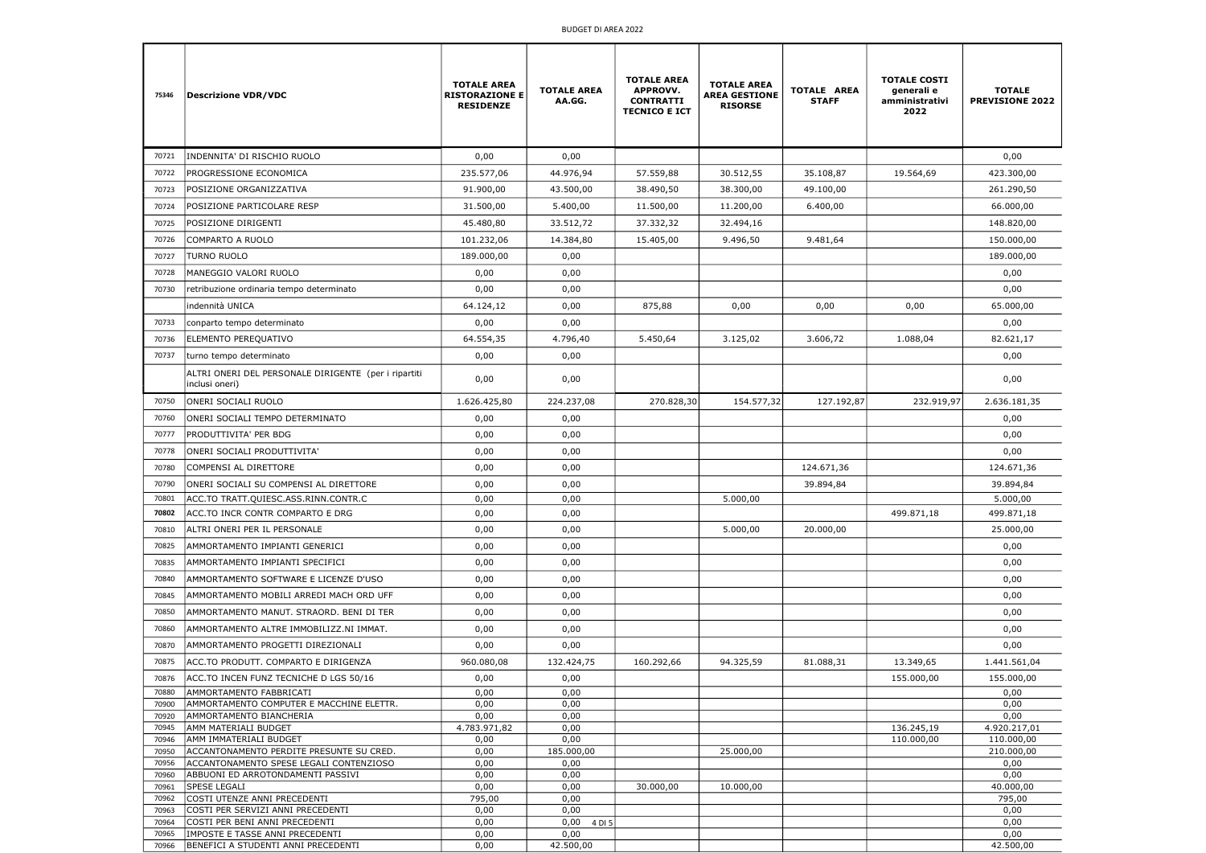| 75346          | <b>Descrizione VDR/VDC</b>                                             | <b>TOTALE AREA</b><br><b>RISTORAZIONE E</b><br><b>RESIDENZE</b> | <b>TOTALE AREA</b><br>AA.GG. | <b>TOTALE AREA</b><br><b>APPROVV.</b><br><b>CONTRATTI</b><br><b>TECNICO E ICT</b> | <b>TOTALE AREA</b><br><b>AREA GESTIONE</b><br><b>RISORSE</b> | TOTALE AREA<br><b>STAFF</b> | <b>TOTALE COSTI</b><br>generali e<br>amministrativi<br>2022 | <b>TOTALE</b><br><b>PREVISIONE 2022</b> |
|----------------|------------------------------------------------------------------------|-----------------------------------------------------------------|------------------------------|-----------------------------------------------------------------------------------|--------------------------------------------------------------|-----------------------------|-------------------------------------------------------------|-----------------------------------------|
| 70721          | INDENNITA' DI RISCHIO RUOLO                                            | 0,00                                                            | 0,00                         |                                                                                   |                                                              |                             |                                                             | 0,00                                    |
| 70722          | PROGRESSIONE ECONOMICA                                                 | 235.577,06                                                      | 44.976,94                    | 57.559,88                                                                         | 30.512,55                                                    | 35.108,87                   | 19.564,69                                                   | 423.300,00                              |
| 70723          | POSIZIONE ORGANIZZATIVA                                                | 91.900,00                                                       | 43.500,00                    | 38.490,50                                                                         | 38.300,00                                                    | 49.100,00                   |                                                             | 261.290,50                              |
| 70724          | POSIZIONE PARTICOLARE RESP                                             | 31.500,00                                                       | 5.400,00                     | 11.500,00                                                                         | 11.200,00                                                    | 6.400,00                    |                                                             | 66.000,00                               |
| 70725          | POSIZIONE DIRIGENTI                                                    | 45.480,80                                                       | 33.512,72                    | 37.332,32                                                                         | 32.494,16                                                    |                             |                                                             | 148.820,00                              |
| 70726          | COMPARTO A RUOLO                                                       | 101.232,06                                                      | 14.384,80                    | 15.405,00                                                                         | 9.496,50                                                     | 9.481,64                    |                                                             | 150.000,00                              |
| 70727          | <b>TURNO RUOLO</b>                                                     | 189.000,00                                                      | 0,00                         |                                                                                   |                                                              |                             |                                                             | 189.000,00                              |
| 70728          | MANEGGIO VALORI RUOLO                                                  | 0,00                                                            | 0,00                         |                                                                                   |                                                              |                             |                                                             | 0,00                                    |
| 70730          | retribuzione ordinaria tempo determinato                               | 0,00                                                            | 0,00                         |                                                                                   |                                                              |                             |                                                             | 0,00                                    |
|                | indennità UNICA                                                        | 64.124,12                                                       | 0,00                         | 875,88                                                                            | 0,00                                                         | 0,00                        | 0,00                                                        | 65.000,00                               |
| 70733          | conparto tempo determinato                                             | 0,00                                                            | 0,00                         |                                                                                   |                                                              |                             |                                                             | 0,00                                    |
| 70736          | ELEMENTO PEREQUATIVO                                                   | 64.554,35                                                       | 4.796,40                     | 5.450,64                                                                          | 3.125,02                                                     | 3.606,72                    | 1.088,04                                                    | 82.621,17                               |
| 70737          | turno tempo determinato                                                | 0,00                                                            | 0,00                         |                                                                                   |                                                              |                             |                                                             | 0,00                                    |
|                | ALTRI ONERI DEL PERSONALE DIRIGENTE (per i ripartiti<br>inclusi oneri) | 0,00                                                            | 0,00                         |                                                                                   |                                                              |                             |                                                             | 0,00                                    |
| 70750          | ONERI SOCIALI RUOLO                                                    | 1.626.425,80                                                    | 224.237,08                   | 270.828,30                                                                        | 154.577,32                                                   | 127.192,87                  | 232.919,97                                                  | 2.636.181,35                            |
| 70760          | ONERI SOCIALI TEMPO DETERMINATO                                        | 0,00                                                            | 0,00                         |                                                                                   |                                                              |                             |                                                             | 0,00                                    |
| 70777          | PRODUTTIVITA' PER BDG                                                  | 0,00                                                            | 0,00                         |                                                                                   |                                                              |                             |                                                             | 0,00                                    |
| 70778          | ONERI SOCIALI PRODUTTIVITA'                                            | 0,00                                                            | 0,00                         |                                                                                   |                                                              |                             |                                                             | 0,00                                    |
| 70780          | COMPENSI AL DIRETTORE                                                  | 0,00                                                            | 0,00                         |                                                                                   |                                                              | 124.671,36                  |                                                             | 124.671,36                              |
| 70790          | ONERI SOCIALI SU COMPENSI AL DIRETTORE                                 | 0,00                                                            | 0,00                         |                                                                                   |                                                              | 39.894,84                   |                                                             | 39.894,84                               |
| 70801          | ACC.TO TRATT.QUIESC.ASS.RINN.CONTR.C                                   | 0,00                                                            | 0,00                         |                                                                                   | 5.000,00                                                     |                             |                                                             | 5.000,00                                |
| 70802          | ACC.TO INCR CONTR COMPARTO E DRG                                       | 0,00                                                            | 0,00                         |                                                                                   |                                                              |                             | 499.871,18                                                  | 499.871,18                              |
| 70810          | ALTRI ONERI PER IL PERSONALE                                           | 0,00                                                            | 0,00                         |                                                                                   | 5.000,00                                                     | 20.000,00                   |                                                             | 25.000,00                               |
| 70825          | AMMORTAMENTO IMPIANTI GENERICI                                         | 0,00                                                            | 0,00                         |                                                                                   |                                                              |                             |                                                             | 0,00                                    |
| 70835          | AMMORTAMENTO IMPIANTI SPECIFICI                                        | 0,00                                                            | 0,00                         |                                                                                   |                                                              |                             |                                                             | 0,00                                    |
| 70840          | AMMORTAMENTO SOFTWARE E LICENZE D'USO                                  | 0,00                                                            | 0,00                         |                                                                                   |                                                              |                             |                                                             | 0,00                                    |
| 70845          | AMMORTAMENTO MOBILI ARREDI MACH ORD UFF                                | 0,00                                                            | 0,00                         |                                                                                   |                                                              |                             |                                                             | 0,00                                    |
| 70850          | AMMORTAMENTO MANUT. STRAORD. BENI DI TER                               | 0,00                                                            | 0,00                         |                                                                                   |                                                              |                             |                                                             | 0,00                                    |
| 70860          | AMMORTAMENTO ALTRE IMMOBILIZZ.NI IMMAT.                                | 0,00                                                            | 0,00                         |                                                                                   |                                                              |                             |                                                             | 0,00                                    |
| 70870          | AMMORTAMENTO PROGETTI DIREZIONALI                                      | 0,00                                                            | 0,00                         |                                                                                   |                                                              |                             |                                                             | 0,00                                    |
| 70875          | ACC.TO PRODUTT. COMPARTO E DIRIGENZA                                   | 960.080,08                                                      | 132.424,75                   | 160.292,66                                                                        | 94.325,59                                                    | 81.088,31                   | 13.349,65                                                   | 1.441.561,04                            |
| 70876          | ACC.TO INCEN FUNZ TECNICHE D LGS 50/16                                 | 0,00                                                            | 0,00                         |                                                                                   |                                                              |                             | 155.000,00                                                  | 155.000,00                              |
| 70880<br>70900 | AMMORTAMENTO FABBRICATI<br>AMMORTAMENTO COMPUTER E MACCHINE ELETTR.    | 0,00<br>0,00                                                    | 0,00<br>0,00                 |                                                                                   |                                                              |                             |                                                             | 0,00<br>0,00                            |
| 70920          | AMMORTAMENTO BIANCHERIA                                                | 0,00                                                            | 0,00                         |                                                                                   |                                                              |                             |                                                             | 0,00                                    |
| 70945          | AMM MATERIALI BUDGET                                                   | 4.783.971,82                                                    | 0,00                         |                                                                                   |                                                              |                             | 136.245,19                                                  | 4.920.217,01                            |
| 70946<br>70950 | AMM IMMATERIALI BUDGET<br>ACCANTONAMENTO PERDITE PRESUNTE SU CRED.     | 0,00<br>0,00                                                    | 0,00<br>185.000,00           |                                                                                   | 25.000,00                                                    |                             | 110.000,00                                                  | 110.000,00<br>210.000,00                |
| 70956          | ACCANTONAMENTO SPESE LEGALI CONTENZIOSO                                | 0,00                                                            | 0,00                         |                                                                                   |                                                              |                             |                                                             | 0,00                                    |
| 70960<br>70961 | ABBUONI ED ARROTONDAMENTI PASSIVI<br>SPESE LEGALI                      | 0,00<br>0,00                                                    | 0,00<br>0,00                 | 30.000,00                                                                         | $\overline{10.000,00}$                                       |                             |                                                             | 0,00<br>40.000,00                       |
| 70962          | COSTI UTENZE ANNI PRECEDENTI                                           | 795,00                                                          | 0,00                         |                                                                                   |                                                              |                             |                                                             | 795,00                                  |
| 70963          | COSTI PER SERVIZI ANNI PRECEDENTI                                      | 0,00                                                            | 0,00                         |                                                                                   |                                                              |                             |                                                             | 0,00                                    |
| 70964<br>70965 | COSTI PER BENI ANNI PRECEDENTI<br>IMPOSTE E TASSE ANNI PRECEDENTI      | 0,00<br>0,00                                                    | 0,00<br>4 DI 5<br>0,00       |                                                                                   |                                                              |                             |                                                             | 0,00<br>0,00                            |
| 70966          | BENEFICI A STUDENTI ANNI PRECEDENTI                                    | 0,00                                                            | 42.500,00                    |                                                                                   |                                                              |                             |                                                             | 42.500,00                               |